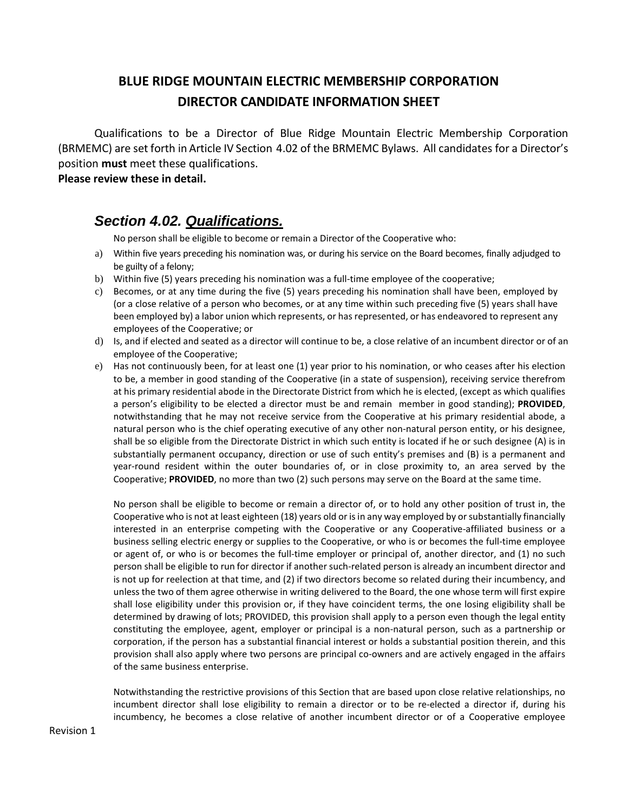## **BLUE RIDGE MOUNTAIN ELECTRIC MEMBERSHIP CORPORATION DIRECTOR CANDIDATE INFORMATION SHEET**

Qualifications to be a Director of Blue Ridge Mountain Electric Membership Corporation (BRMEMC) are set forth in Article IV Section 4.02 of the BRMEMC Bylaws. All candidates for a Director's position **must** meet these qualifications.

## **Please review these in detail.**

## *Section 4.02. Qualifications.*

No person shall be eligible to become or remain a Director of the Cooperative who:

- a) Within five years preceding his nomination was, or during his service on the Board becomes, finally adjudged to be guilty of a felony;
- b) Within five (5) years preceding his nomination was a full-time employee of the cooperative;
- c) Becomes, or at any time during the five (5) years preceding his nomination shall have been, employed by (or a close relative of a person who becomes, or at any time within such preceding five (5) years shall have been employed by) a labor union which represents, or has represented, or has endeavored to represent any employees of the Cooperative; or
- d) Is, and if elected and seated as a director will continue to be, a close relative of an incumbent director or of an employee of the Cooperative;
- e) Has not continuously been, for at least one (1) year prior to his nomination, or who ceases after his election to be, a member in good standing of the Cooperative (in a state of suspension), receiving service therefrom at his primary residential abode in the Directorate District from which he is elected, (except as which qualifies a person's eligibility to be elected a director must be and remain member in good standing); **PROVIDED**, notwithstanding that he may not receive service from the Cooperative at his primary residential abode, a natural person who is the chief operating executive of any other non-natural person entity, or his designee, shall be so eligible from the Directorate District in which such entity is located if he or such designee (A) is in substantially permanent occupancy, direction or use of such entity's premises and (B) is a permanent and year-round resident within the outer boundaries of, or in close proximity to, an area served by the Cooperative; **PROVIDED**, no more than two (2) such persons may serve on the Board at the same time.

No person shall be eligible to become or remain a director of, or to hold any other position of trust in, the Cooperative who is not at least eighteen (18) years old or is in any way employed by or substantially financially interested in an enterprise competing with the Cooperative or any Cooperative-affiliated business or a business selling electric energy or supplies to the Cooperative, or who is or becomes the full-time employee or agent of, or who is or becomes the full-time employer or principal of, another director, and (1) no such person shall be eligible to run for director if another such-related person is already an incumbent director and is not up for reelection at that time, and (2) if two directors become so related during their incumbency, and unless the two of them agree otherwise in writing delivered to the Board, the one whose term will first expire shall lose eligibility under this provision or, if they have coincident terms, the one losing eligibility shall be determined by drawing of lots; PROVIDED, this provision shall apply to a person even though the legal entity constituting the employee, agent, employer or principal is a non-natural person, such as a partnership or corporation, if the person has a substantial financial interest or holds a substantial position therein, and this provision shall also apply where two persons are principal co-owners and are actively engaged in the affairs of the same business enterprise.

Notwithstanding the restrictive provisions of this Section that are based upon close relative relationships, no incumbent director shall lose eligibility to remain a director or to be re-elected a director if, during his incumbency, he becomes a close relative of another incumbent director or of a Cooperative employee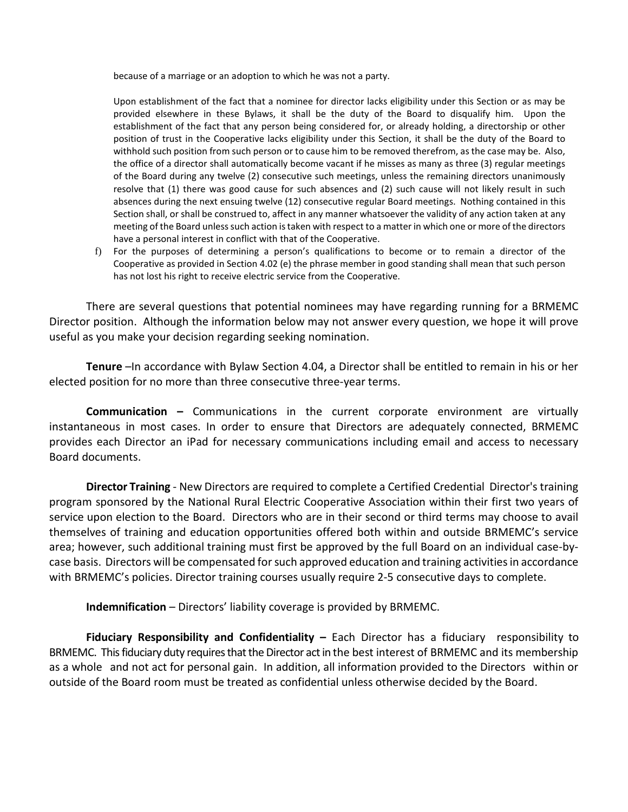because of a marriage or an adoption to which he was not a party.

Upon establishment of the fact that a nominee for director lacks eligibility under this Section or as may be provided elsewhere in these Bylaws, it shall be the duty of the Board to disqualify him. Upon the establishment of the fact that any person being considered for, or already holding, a directorship or other position of trust in the Cooperative lacks eligibility under this Section, it shall be the duty of the Board to withhold such position from such person or to cause him to be removed therefrom, as the case may be. Also, the office of a director shall automatically become vacant if he misses as many as three (3) regular meetings of the Board during any twelve (2) consecutive such meetings, unless the remaining directors unanimously resolve that (1) there was good cause for such absences and (2) such cause will not likely result in such absences during the next ensuing twelve (12) consecutive regular Board meetings. Nothing contained in this Section shall, or shall be construed to, affect in any manner whatsoever the validity of any action taken at any meeting of the Board unless such action is taken with respect to a matter in which one or more of the directors have a personal interest in conflict with that of the Cooperative.

f) For the purposes of determining a person's qualifications to become or to remain a director of the Cooperative as provided in Section 4.02 (e) the phrase member in good standing shall mean that such person has not lost his right to receive electric service from the Cooperative.

There are several questions that potential nominees may have regarding running for a BRMEMC Director position. Although the information below may not answer every question, we hope it will prove useful as you make your decision regarding seeking nomination.

**Tenure** –In accordance with Bylaw Section 4.04, a Director shall be entitled to remain in his or her elected position for no more than three consecutive three-year terms.

**Communication –** Communications in the current corporate environment are virtually instantaneous in most cases. In order to ensure that Directors are adequately connected, BRMEMC provides each Director an iPad for necessary communications including email and access to necessary Board documents.

**Director Training** - New Directors are required to complete a Certified Credential Director's training program sponsored by the National Rural Electric Cooperative Association within their first two years of service upon election to the Board. Directors who are in their second or third terms may choose to avail themselves of training and education opportunities offered both within and outside BRMEMC's service area; however, such additional training must first be approved by the full Board on an individual case-bycase basis. Directors will be compensated for such approved education and training activities in accordance with BRMEMC's policies. Director training courses usually require 2-5 consecutive days to complete.

**Indemnification** – Directors' liability coverage is provided by BRMEMC.

**Fiduciary Responsibility and Confidentiality –** Each Director has a fiduciary responsibility to BRMEMC. This fiduciary duty requires that the Director act in the best interest of BRMEMC and its membership as a whole and not act for personal gain. In addition, all information provided to the Directors within or outside of the Board room must be treated as confidential unless otherwise decided by the Board.